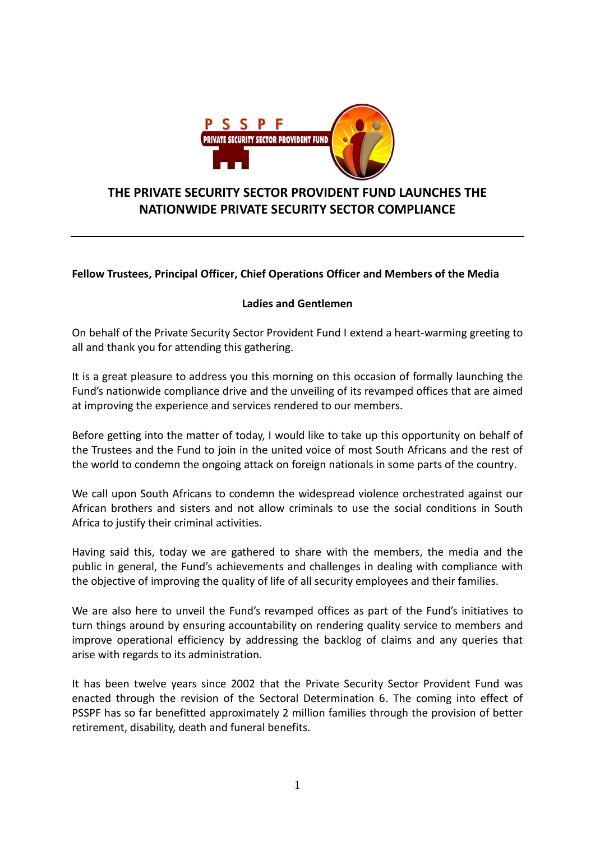

## **THE PRIVATE SECURITY SECTOR PROVIDENT FUND LAUNCHES THE NATIONWIDE PRIVATE SECURITY SECTOR COMPLIANCE**

## **Fellow Trustees, Principal Officer, Chief Operations Officer and Members of the Media**

## **Ladies and Gentlemen**

On behalf of the Private Security Sector Provident Fund I extend a heart-warming greeting to all and thank you for attending this gathering.

It is a great pleasure to address you this morning on this occasion of formally launching the Fund's nationwide compliance drive and the unveiling of its revamped offices that are aimed at improving the experience and services rendered to our members.

Before getting into the matter of today, I would like to take up this opportunity on behalf of the Trustees and the Fund to join in the united voice of most South Africans and the rest of the world to condemn the ongoing attack on foreign nationals in some parts of the country.

We call upon South Africans to condemn the widespread violence orchestrated against our African brothers and sisters and not allow criminals to use the social conditions in South Africa to justify their criminal activities.

Having said this, today we are gathered to share with the members, the media and the public in general, the Fund's achievements and challenges in dealing with compliance with the objective of improving the quality of life of all security employees and their families.

We are also here to unveil the Fund's revamped offices as part of the Fund's initiatives to turn things around by ensuring accountability on rendering quality service to members and improve operational efficiency by addressing the backlog of claims and any queries that arise with regards to its administration.

It has been twelve years since 2002 that the Private Security Sector Provident Fund was enacted through the revision of the Sectoral Determination 6. The coming into effect of PSSPF has so far benefitted approximately 2 million families through the provision of better retirement, disability, death and funeral benefits.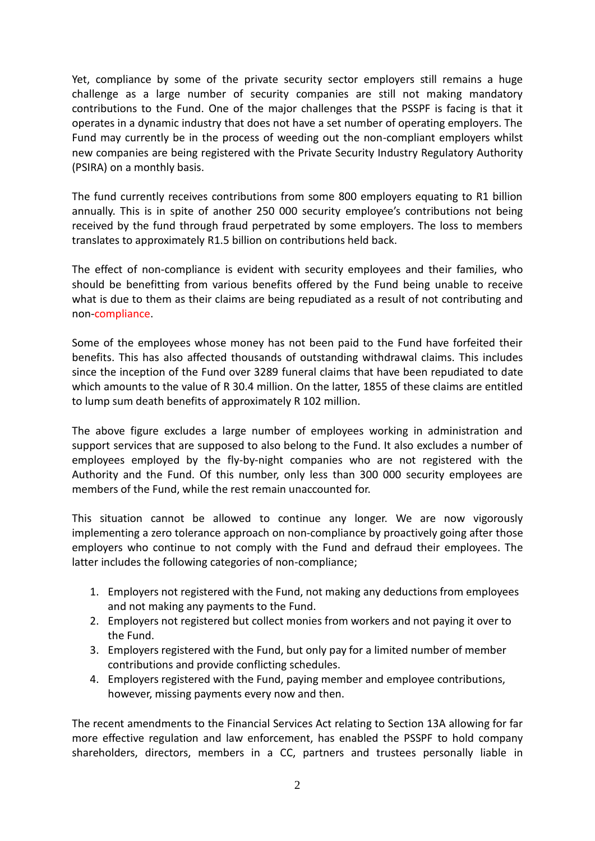Yet, compliance by some of the private security sector employers still remains a huge challenge as a large number of security companies are still not making mandatory contributions to the Fund. One of the major challenges that the PSSPF is facing is that it operates in a dynamic industry that does not have a set number of operating employers. The Fund may currently be in the process of weeding out the non-compliant employers whilst new companies are being registered with the Private Security Industry Regulatory Authority (PSIRA) on a monthly basis.

The fund currently receives contributions from some 800 employers equating to R1 billion annually. This is in spite of another 250 000 security employee's contributions not being received by the fund through fraud perpetrated by some employers. The loss to members translates to approximately R1.5 billion on contributions held back.

The effect of non-compliance is evident with security employees and their families, who should be benefitting from various benefits offered by the Fund being unable to receive what is due to them as their claims are being repudiated as a result of not contributing and non-compliance.

Some of the employees whose money has not been paid to the Fund have forfeited their benefits. This has also affected thousands of outstanding withdrawal claims. This includes since the inception of the Fund over 3289 funeral claims that have been repudiated to date which amounts to the value of R 30.4 million. On the latter, 1855 of these claims are entitled to lump sum death benefits of approximately R 102 million.

The above figure excludes a large number of employees working in administration and support services that are supposed to also belong to the Fund. It also excludes a number of employees employed by the fly-by-night companies who are not registered with the Authority and the Fund. Of this number, only less than 300 000 security employees are members of the Fund, while the rest remain unaccounted for.

This situation cannot be allowed to continue any longer. We are now vigorously implementing a zero tolerance approach on non-compliance by proactively going after those employers who continue to not comply with the Fund and defraud their employees. The latter includes the following categories of non-compliance;

- 1. Employers not registered with the Fund, not making any deductions from employees and not making any payments to the Fund.
- 2. Employers not registered but collect monies from workers and not paying it over to the Fund.
- 3. Employers registered with the Fund, but only pay for a limited number of member contributions and provide conflicting schedules.
- 4. Employers registered with the Fund, paying member and employee contributions, however, missing payments every now and then.

The recent amendments to the Financial Services Act relating to Section 13A allowing for far more effective regulation and law enforcement, has enabled the PSSPF to hold company shareholders, directors, members in a CC, partners and trustees personally liable in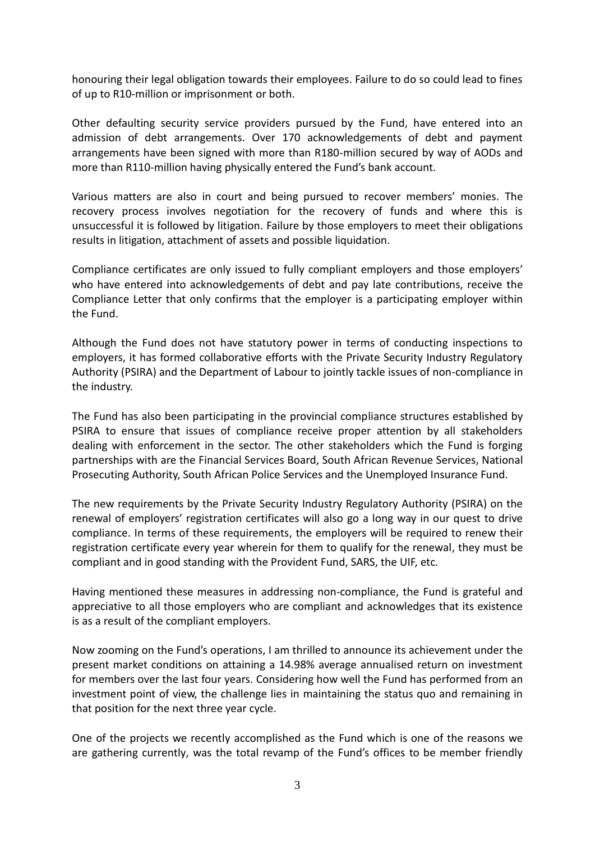honouring their legal obligation towards their employees. Failure to do so could lead to fines of up to R10-million or imprisonment or both.

Other defaulting security service providers pursued by the Fund, have entered into an admission of debt arrangements. Over 170 acknowledgements of debt and payment arrangements have been signed with more than R180-million secured by way of AODs and more than R110-million having physically entered the Fund's bank account.

Various matters are also in court and being pursued to recover members' monies. The recovery process involves negotiation for the recovery of funds and where this is unsuccessful it is followed by litigation. Failure by those employers to meet their obligations results in litigation, attachment of assets and possible liquidation.

Compliance certificates are only issued to fully compliant employers and those employers' who have entered into acknowledgements of debt and pay late contributions, receive the Compliance Letter that only confirms that the employer is a participating employer within the Fund.

Although the Fund does not have statutory power in terms of conducting inspections to employers, it has formed collaborative efforts with the Private Security Industry Regulatory Authority (PSIRA) and the Department of Labour to jointly tackle issues of non-compliance in the industry.

The Fund has also been participating in the provincial compliance structures established by PSIRA to ensure that issues of compliance receive proper attention by all stakeholders dealing with enforcement in the sector. The other stakeholders which the Fund is forging partnerships with are the Financial Services Board, South African Revenue Services, National Prosecuting Authority, South African Police Services and the Unemployed Insurance Fund.

The new requirements by the Private Security Industry Regulatory Authority (PSIRA) on the renewal of employers' registration certificates will also go a long way in our quest to drive compliance. In terms of these requirements, the employers will be required to renew their registration certificate every year wherein for them to qualify for the renewal, they must be compliant and in good standing with the Provident Fund, SARS, the UIF, etc.

Having mentioned these measures in addressing non-compliance, the Fund is grateful and appreciative to all those employers who are compliant and acknowledges that its existence is as a result of the compliant employers.

Now zooming on the Fund's operations, I am thrilled to announce its achievement under the present market conditions on attaining a 14.98% average annualised return on investment for members over the last four years. Considering how well the Fund has performed from an investment point of view, the challenge lies in maintaining the status quo and remaining in that position for the next three year cycle.

One of the projects we recently accomplished as the Fund which is one of the reasons we are gathering currently, was the total revamp of the Fund's offices to be member friendly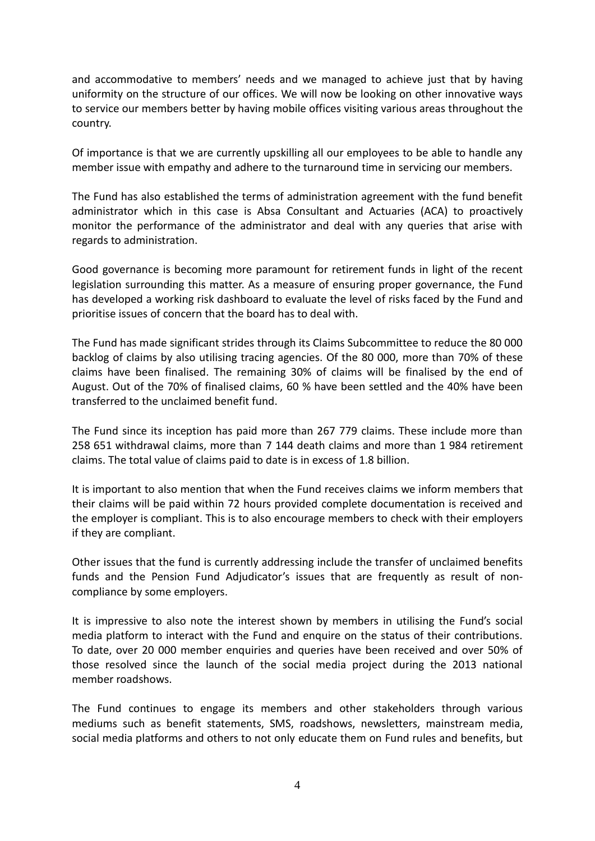and accommodative to members' needs and we managed to achieve just that by having uniformity on the structure of our offices. We will now be looking on other innovative ways to service our members better by having mobile offices visiting various areas throughout the country.

Of importance is that we are currently upskilling all our employees to be able to handle any member issue with empathy and adhere to the turnaround time in servicing our members.

The Fund has also established the terms of administration agreement with the fund benefit administrator which in this case is Absa Consultant and Actuaries (ACA) to proactively monitor the performance of the administrator and deal with any queries that arise with regards to administration.

Good governance is becoming more paramount for retirement funds in light of the recent legislation surrounding this matter. As a measure of ensuring proper governance, the Fund has developed a working risk dashboard to evaluate the level of risks faced by the Fund and prioritise issues of concern that the board has to deal with.

The Fund has made significant strides through its Claims Subcommittee to reduce the 80 000 backlog of claims by also utilising tracing agencies. Of the 80 000, more than 70% of these claims have been finalised. The remaining 30% of claims will be finalised by the end of August. Out of the 70% of finalised claims, 60 % have been settled and the 40% have been transferred to the unclaimed benefit fund.

The Fund since its inception has paid more than 267 779 claims. These include more than 258 651 withdrawal claims, more than 7 144 death claims and more than 1 984 retirement claims. The total value of claims paid to date is in excess of 1.8 billion.

It is important to also mention that when the Fund receives claims we inform members that their claims will be paid within 72 hours provided complete documentation is received and the employer is compliant. This is to also encourage members to check with their employers if they are compliant.

Other issues that the fund is currently addressing include the transfer of unclaimed benefits funds and the Pension Fund Adjudicator's issues that are frequently as result of noncompliance by some employers.

It is impressive to also note the interest shown by members in utilising the Fund's social media platform to interact with the Fund and enquire on the status of their contributions. To date, over 20 000 member enquiries and queries have been received and over 50% of those resolved since the launch of the social media project during the 2013 national member roadshows.

The Fund continues to engage its members and other stakeholders through various mediums such as benefit statements, SMS, roadshows, newsletters, mainstream media, social media platforms and others to not only educate them on Fund rules and benefits, but